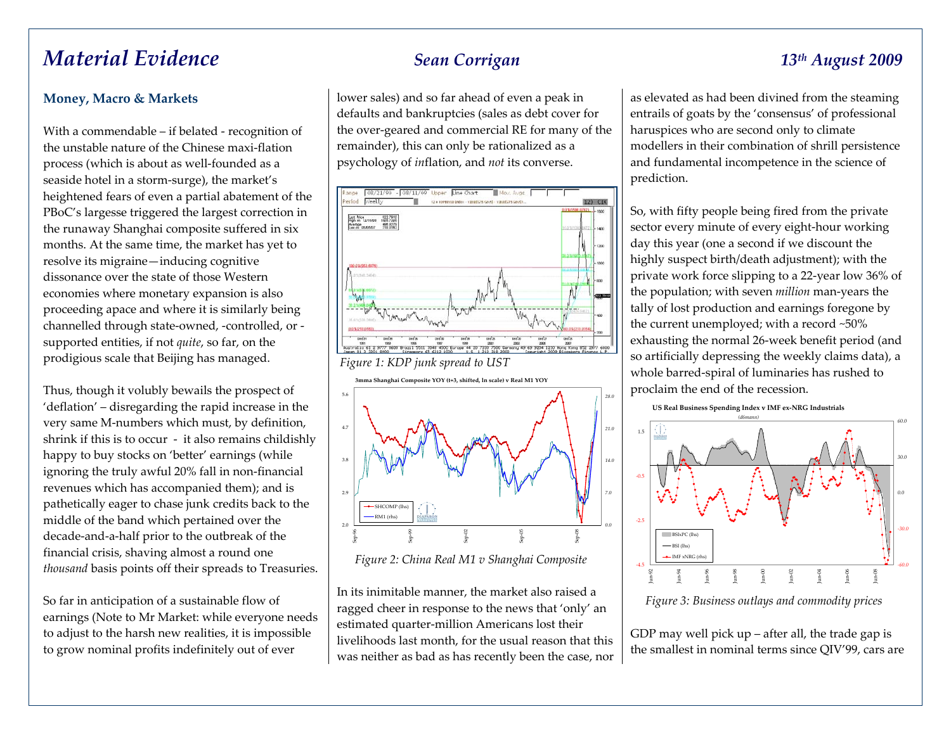# *Material Evidence Sean Corrigan 13th August <sup>2009</sup>*

### **Money, Macro & Markets**

With <sup>a</sup> commendable – if belated ‐ recognition of the unstable nature of the Chinese maxi‐flation process (which is about as well‐founded as <sup>a</sup> seaside hotel in <sup>a</sup> storm‐surge), the market's heightened fears of even <sup>a</sup> partial abatement of the PBoC's largesse triggered the largest correction in the runaway Shanghai composite suffered in six months. At the same time, the market has ye<sup>t</sup> to resolve its migraine—inducing cognitive dissonance over the state of those Westerneconomies where monetary expansion is also proceeding apace and where it is similarly being channelled through state‐owned, ‐controlled, or ‐ supported entities, if not *quite*, so far, on the prodigious scale that Beijing has managed.

Thus, though it volubly bewails the prospec<sup>t</sup> of 'deflation' – disregarding the rapid increase in the very same M‐numbers which must, by definition, shrink if this is to occur ‐ it also remains childishly happy to buy stocks on 'better' earnings (while ignoring the truly awful 20% fall in non‐financial revenues which has accompanied them); and is pathetically eager to chase junk credits back to the middle of the band which pertained over the decade‐and‐a‐half prior to the outbreak of the financial crisis, shaving almost <sup>a</sup> round one *thousand* basis points off their spreads to Treasuries.

So far in anticipation of <sup>a</sup> sustainable flow of earnings (Note to Mr Market: while everyone needs to adjust to the harsh new realities, it is impossible to grow nominal profits indefinitely out of ever

lower sales) and so far ahead of even <sup>a</sup> peak in defaults and bankruptcies (sales as debt cover for the over‐geared and commercial RE for many of the remainder), this can only be rationalized as <sup>a</sup> psychology of *in*flation, and *not* its converse.



**3mma Shanghai Composite YOY (t+3, shifted, ln scale) <sup>v</sup> Real M1 YOY** 2.02.93.84.7 5.6Sep‐96 Sep‐99 Sep‐02 Sep‐05 Sep‐08 *0.07.014.021.028.0*SHCOMP (lhs) RM1(rhs)

*Figure 2: China Real M1 v Shanghai Composite*

In its inimitable manner, the market also raised <sup>a</sup> ragged cheer in response to the news that 'only' an estimated quarter‐million Americans lost their livelihoods last month, for the usual reason that this was neither as bad as has recently been the case, nor

as elevated as had been divined from the steaming entrails of goats by the 'consensus' of professional haruspices who are second only to climate modellers in their combination of shrill persistence and fundamental incompetence in the science of prediction.

So, with fifty people being fired from the private sector every minute of every eight‐hour working day this year (one <sup>a</sup> second if we discount the highly suspec<sup>t</sup> birth/death adjustment); with the private work force slipping to <sup>a</sup> <sup>22</sup>‐year low 36% of the population; with seven *million* man‐years the tally of lost production and earnings foregone by the current unemployed; with <sup>a</sup> record ~50% exhausting the normal 26‐week benefit period (and so artificially depressing the weekly claims data), <sup>a</sup> whole barred‐spiral of luminaries has rushed to proclaim the end of the recession.





*Figure 3: Business outlays and commodity prices*

GDP may well pick up – after all, the trade gap is the smallest in nominal terms since QIV'99, cars are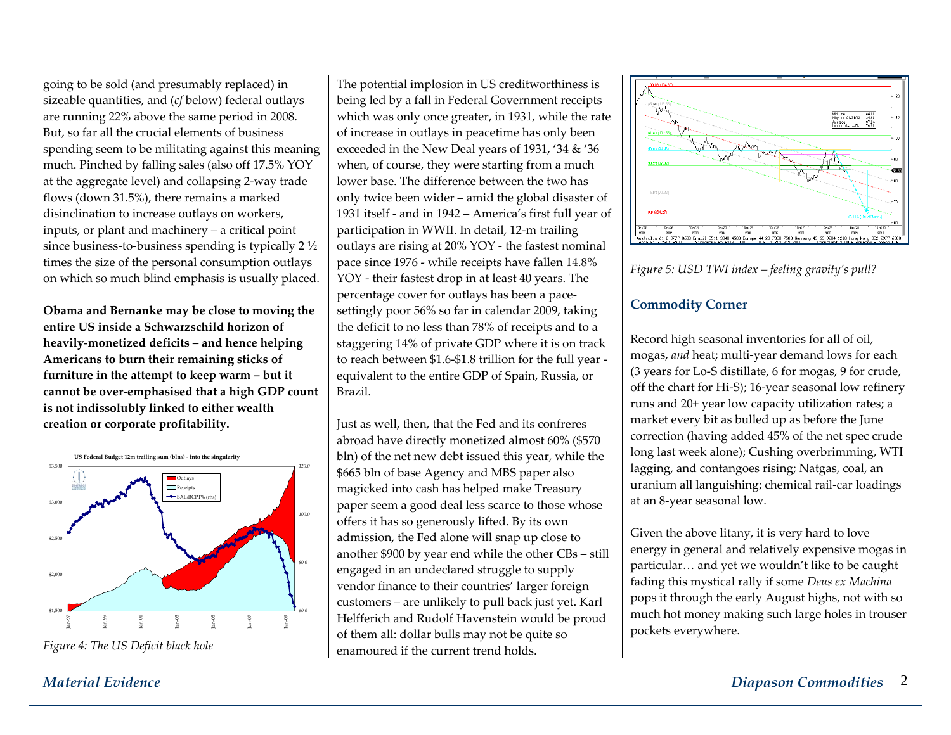going to be sold (and presumably replaced) in sizeable quantities, and (*cf* below) federal outlays are running 22% above the same period in 2008. But, so far all the crucial elements of business spending seem to be militating against this meaning much. Pinched by falling sales (also off 17.5% YOY at the aggregate level) and collapsing <sup>2</sup>‐way trade flows (down 31.5%), there remains <sup>a</sup> marked disinclination to increase outlays on workers, inputs, or plant and machinery – <sup>a</sup> critical point since business‐to‐business spending is typically <sup>2</sup> ½ times the size of the personal consumption outlays on which so much blind emphasis is usually placed.

**Obama and Bernanke may be close to moving the entire US inside <sup>a</sup> Schwarzschild horizon of heavily‐monetized deficits – and hence helping Americans to burn their remaining sticks of furniture in the attempt to keep warm – but it cannot be over‐emphasised that <sup>a</sup> high GDP count is not indissolubly linked to either wealth creation or corporate profitability.**



*Figure 4: The US Deficit black hole*

The potential implosion in US creditworthiness is being led by <sup>a</sup> fall in Federal Government receipts which was only once greater, in 1931, while the rate of increase in outlays in peacetime has only been exceeded in the New Deal years of 1931, '34 & '36 when, of course, they were starting from <sup>a</sup> much lower base. The difference between the two has only twice been wider – amid the global disaster of 1931 itself ‐ and in 1942 – America's first full year of participation in WWII. In detail, <sup>12</sup>‐<sup>m</sup> trailing outlays are rising at 20% YOY ‐ the fastest nominal pace since 1976 ‐ while receipts have fallen 14.8% YOY ‐ their fastest drop in at least 40 years. The percentage cover for outlays has been <sup>a</sup> pace‐ settingly poor 56% so far in calendar 2009, taking the deficit to no less than 78% of receipts and to <sup>a</sup> staggering 14% of private GDP where it is on track to reach between \$1.6‐\$1.8 trillion for the full year ‐ equivalent to the entire GDP of Spain, Russia, or Brazil.

Just as well, then, that the Fed and its confreres abroad have directly monetized almost 60% (\$570 bln) of the net new debt issued this year, while the \$665 bln of base Agency and MBS paper also magicked into cash has helped make Treasury paper seem <sup>a</sup> good deal less scarce to those whose offers it has so generously lifted. By its own admission, the Fed alone will snap up close to another \$900 by year end while the other CBs – still engaged in an undeclared struggle to supply vendor finance to their countries' larger foreign customers – are unlikely to pull back just yet. Karl Helfferich and Rudolf Havenstein would be proud of them all: dollar bulls may not be quite so enamoured if the current trend holds.





### **Commodity Corner**

Record high seasonal inventories for all of oil, mogas, *and* heat; multi‐year demand lows for each (3 years for Lo‐S distillate, 6 for mogas, 9 for crude, off the chart for Hi‐S); 16‐year seasonal low refinery runs and 20+ year low capacity utilization rates; <sup>a</sup> market every bit as bulled up as before the June correction (having added 45% of the net spec crude long last week alone); Cushing overbrimming, WTI lagging, and contangoes rising; Natgas, coal, an uranium all languishing; chemical rail‐car loadings at an <sup>8</sup>‐year seasonal low.

Given the above litany, it is very hard to love energy in general and relatively expensive mogas in particular… and ye<sup>t</sup> we wouldn't like to be caught fading this mystical rally if some *Deus ex Machina* pops it through the early August highs, not with so much hot money making such large holes in trouser pockets everywhere.

# *Material Evidence*